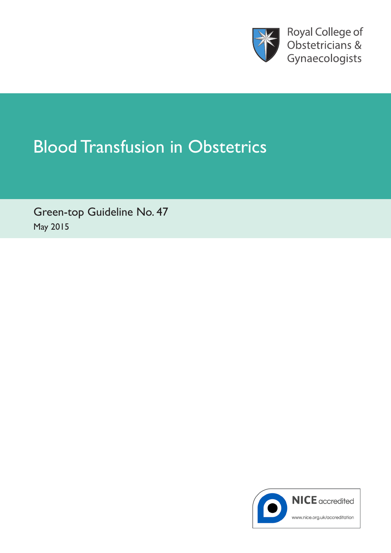

Royal College of Obstetricians & Gynaecologists

# Blood Transfusion in Obstetrics

Green-top Guideline No. 47 May 2015

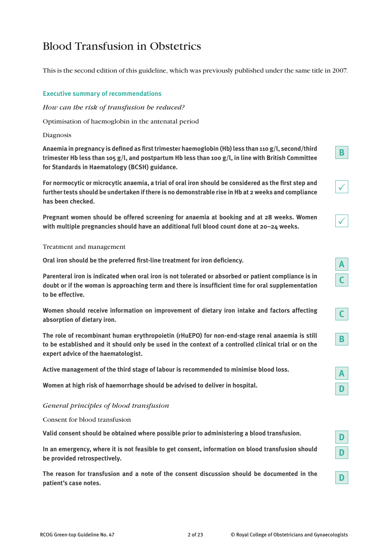# Blood Transfusion in Obstetrics

This is the second edition of this guideline, which was previously published under the same title in 2007.

#### **Executive summary of recommendations**

*How can the risk of transfusion be reduced?*

Optimisation of haemoglobin in the antenatal period

#### Diagnosis

**Anaemia in pregnancy is defined as first trimester haemoglobin (Hb) less than 110 g/l, second/third trimester Hb less than 105 g/l, and postpartum Hb less than 100 g/l, in line with British Committee for Standards in Haematology (BCSH) guidance.**

**For normocytic or microcytic anaemia, a trial of oral iron should be considered as the first step and further tests should be undertaken if there is no demonstrable rise in Hb at 2 weeks and compliance has been checked.**

**Pregnant women should be offered screening for anaemia at booking and at 28 weeks. Women with multiple pregnancies should have an additional full blood count done at 20–24 weeks.**

Treatment and management

**Oral iron should be the preferred first-line treatment for iron deficiency.**

**Parenteral iron is indicated when oral iron is not tolerated or absorbed or patient compliance is in doubt or if the woman is approaching term and there is insufficient time for oral supplementation to be effective.**

**Women should receive information on improvement of dietary iron intake and factors affecting absorption of dietary iron.**

**The role of recombinant human erythropoietin (rHuEPO) for non-end-stage renal anaemia is still to be established and it should only be used in the context of a controlled clinical trial or on the expert advice of the haematologist.**

**Active management of the third stage of labour is recommended to minimise blood loss.**

**Women at high risk of haemorrhage should be advised to deliver in hospital.**

#### *General principles of blood transfusion*

Consent for blood transfusion

**Valid consent should be obtained where possible prior to administering a blood transfusion.**

**In an emergency, where it is not feasible to get consent, information on blood transfusion should be provided retrospectively.**

**The reason for transfusion and a note of the consent discussion should be documented in the patient's case notes.**

 $\checkmark$ 

**B**

 $\checkmark$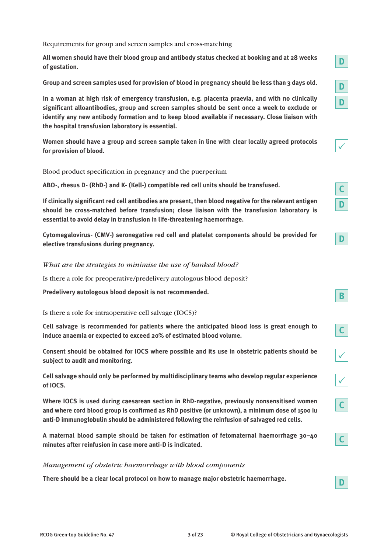Requirements for group and screen samples and cross-matching

**All women should have their blood group and antibody status checked at booking and at 28 weeks of gestation.**

**Group and screen samples used for provision of blood in pregnancy should be less than 3 days old.**

**In a woman at high risk of emergency transfusion, e.g. placenta praevia, and with no clinically significant alloantibodies, group and screen samples should be sent once a week to exclude or identify any new antibody formation and to keep blood available if necessary. Close liaison with the hospital transfusion laboratory is essential.**

**Women should have a group and screen sample taken in line with clear locally agreed protocols for provision of blood.**

Blood product specification in pregnancy and the puerperium

**ABO-, rhesus D- (RhD-) and K- (Kell-) compatible red cell units should be transfused.**

**If clinically significant red cell antibodies are present, then blood negative for the relevant antigen should be cross-matched before transfusion; close liaison with the transfusion laboratory is essential to avoid delay in transfusion in life-threatening haemorrhage.**

**Cytomegalovirus- (CMV-) seronegative red cell and platelet components should be provided for elective transfusions during pregnancy.**

*What are the strategies to minimise the use of banked blood?*

Is there a role for preoperative/predelivery autologous blood deposit?

**Predelivery autologous blood deposit is not recommended.**

Is there a role for intraoperative cell salvage (IOCS)?

**Cell salvage is recommended for patients where the anticipated blood loss is great enough to induce anaemia or expected to exceed 20% of estimated blood volume.**

**Consent should be obtained for IOCS where possible and its use in obstetric patients should be subject to audit and monitoring.**

**Cell salvage should only be performed by multidisciplinary teams who develop regular experience of IOCS.**

**Where IOCS is used during caesarean section in RhD-negative, previously nonsensitised women and where cord blood group is confirmed as RhD positive (or unknown), a minimum dose of 1500 iu anti-D immunoglobulin should be administered following the reinfusion of salvaged red cells.**

**A maternal blood sample should be taken for estimation of fetomaternal haemorrhage 30–40 minutes after reinfusion in case more anti-D is indicated.**

*Management of obstetric haemorrhage with blood components*

**There should be a clear local protocol on how to manage major obstetric haemorrhage.**

**D D**

**D**

|--|

**C**

**D**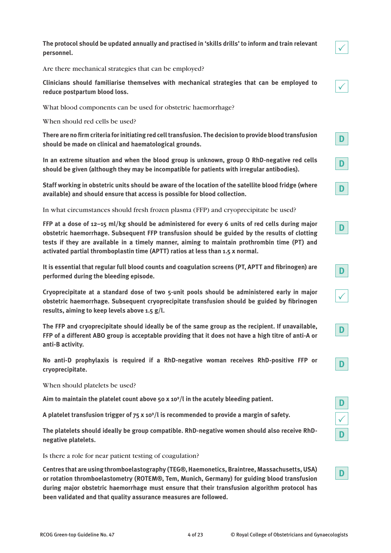**The protocol should be updated annually and practised in 'skills drills' to inform and train relevant personnel.**

Are there mechanical strategies that can be employed?

**Clinicians should familiarise themselves with mechanical strategies that can be employed to reduce postpartum blood loss.**

What blood components can be used for obstetric haemorrhage?

When should red cells be used?

**There are no firm criteria for initiating red cell transfusion. The decision to provide blood transfusion should be made on clinical and haematological grounds.**

**In an extreme situation and when the blood group is unknown, group O RhD-negative red cells should be given (although they may be incompatible for patients with irregular antibodies).**

**Staff working in obstetric units should be aware of the location of the satellite blood fridge (where available) and should ensure that access is possible for blood collection.**

In what circumstances should fresh frozen plasma (FFP) and cryoprecipitate be used?

**FFP at a dose of 12–15 ml/kg should be administered for every 6 units of red cells during major obstetric haemorrhage. Subsequent FFP transfusion should be guided by the results of clotting tests if they are available in a timely manner, aiming to maintain prothrombin time (PT) and activated partial thromboplastin time (APTT) ratios at less than 1.5 x normal.**

**It is essential that regular full blood counts and coagulation screens (PT, APTT and fibrinogen) are performed during the bleeding episode.**

**Cryoprecipitate at a standard dose of two 5-unit pools should be administered early in major obstetric haemorrhage. Subsequent cryoprecipitate transfusion should be guided by fibrinogen results, aiming to keep levels above 1.5 g/l.**

**The FFP and cryoprecipitate should ideally be of the same group as the recipient. If unavailable, FFP of a different ABO group is acceptable providing that it does not have a high titre of anti-A or anti-B activity.**

**No anti-D prophylaxis is required if a RhD-negative woman receives RhD-positive FFP or cryoprecipitate.**

When should platelets be used?

**Aim to maintain the platelet count above 50 x 109 /l in the acutely bleeding patient.**

**A platelet transfusion trigger of 75 x 109 /l is recommended to provide a margin of safety.**

**The platelets should ideally be group compatible. RhD-negative women should also receive RhDnegative platelets.**

Is there a role for near patient testing of coagulation?

**Centres that are using thromboelastography (TEG®, Haemonetics, Braintree, Massachusetts, USA) or rotation thromboelastometry (ROTEM®, Tem, Munich, Germany) for guiding blood transfusion during major obstetric haemorrhage must ensure that their transfusion algorithm protocol has been validated and that quality assurance measures are followed.**



**D**



**D**

**D**



**D**

**D**







**D**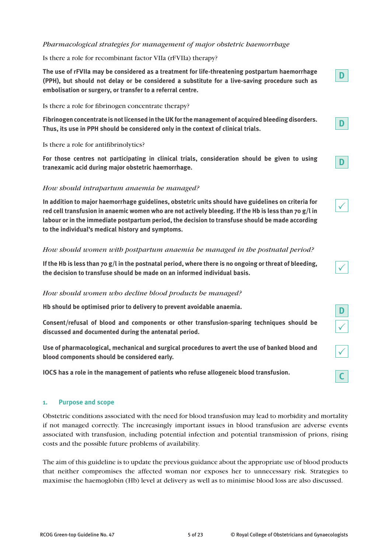#### *Pharmacological strategies for management of major obstetric haemorrhage*

#### Is there a role for recombinant factor VIIa (rFVIIa) therapy?

**The use of rFVIIa may be considered as a treatment for life-threatening postpartum haemorrhage (PPH), but should not delay or be considered a substitute for a live-saving procedure such as embolisation or surgery, or transfer to a referral centre.**

Is there a role for fibrinogen concentrate therapy?

**Fibrinogen concentrate is not licensed in the UK for the management of acquired bleeding disorders. Thus, its use in PPH should be considered only in the context of clinical trials.**

Is there a role for antifibrinolytics?

**For those centres not participating in clinical trials, consideration should be given to using tranexamic acid during major obstetric haemorrhage.**

#### *How should intrapartum anaemia be managed?*

**In addition to major haemorrhage guidelines, obstetric units should have guidelines on criteria for red cell transfusion in anaemic women who are not actively bleeding. If the Hb is less than 70 g/l in labour or in the immediate postpartum period, the decision to transfuse should be made according to the individual's medical history and symptoms.**

#### *How should women with postpartum anaemia be managed in the postnatal period?*

**If the Hb is less than 70 g/l in the postnatal period, where there is no ongoing or threat of bleeding, the decision to transfuse should be made on an informed individual basis.**

#### *How should women who decline blood products be managed?*

**Hb should be optimised prior to delivery to prevent avoidable anaemia.**

**Consent/refusal of blood and components or other transfusion-sparing techniques should be discussed and documented during the antenatal period.**

**Use of pharmacological, mechanical and surgical procedures to avert the use of banked blood and blood components should be considered early.**

**IOCS has a role in the management of patients who refuse allogeneic blood transfusion.**

#### **1. Purpose and scope**

Obstetric conditions associated with the need for blood transfusion may lead to morbidity and mortality if not managed correctly. The increasingly important issues in blood transfusion are adverse events associated with transfusion, including potential infection and potential transmission of prions, rising costs and the possible future problems of availability.

The aim of this guideline is to update the previous guidance about the appropriate use of blood products that neither compromises the affected woman nor exposes her to unnecessary risk. Strategies to maximise the haemoglobin (Hb) level at delivery as well as to minimise blood loss are also discussed.

**D**

**D**

**D**

 $\checkmark$ 

**D**

 $\checkmark$ 

 $\checkmark$ 

 $\checkmark$ 

**C**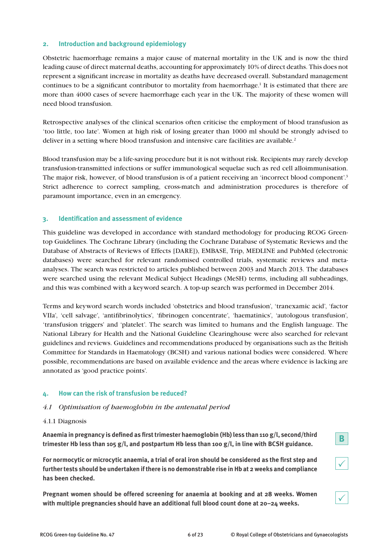#### **2. Introduction and background epidemiology**

Obstetric haemorrhage remains a major cause of maternal mortality in the UK and is now the third leading cause of direct maternal deaths, accounting for approximately 10% of direct deaths. This does not represent a significant increase in mortality as deaths have decreased overall. Substandard management continues to be a significant contributor to mortality from haemorrhage.<sup>1</sup> It is estimated that there are more than 4000 cases of severe haemorrhage each year in the UK. The majority of these women will need blood transfusion.

Retrospective analyses of the clinical scenarios often criticise the employment of blood transfusion as 'too little, too late'. Women at high risk of losing greater than 1000 ml should be strongly advised to deliver in a setting where blood transfusion and intensive care facilities are available.<sup>2</sup>

Blood transfusion may be a life-saving procedure but it is not without risk. Recipients may rarely develop transfusion-transmitted infections or suffer immunological sequelae such as red cell alloimmunisation. The major risk, however, of blood transfusion is of a patient receiving an 'incorrect blood component'.<sup>3</sup> Strict adherence to correct sampling, cross-match and administration procedures is therefore of paramount importance, even in an emergency.

#### **3. Identification and assessment of evidence**

This guideline was developed in accordance with standard methodology for producing RCOG Greentop Guidelines. The Cochrane Library (including the Cochrane Database of Systematic Reviews and the Database of Abstracts of Reviews of Effects [DARE]), EMBASE, Trip, MEDLINE and PubMed (electronic databases) were searched for relevant randomised controlled trials, systematic reviews and metaanalyses. The search was restricted to articles published between 2003 and March 2013. The databases were searched using the relevant Medical Subject Headings (MeSH) terms, including all subheadings, and this was combined with a keyword search. A top-up search was performed in December 2014.

Terms and keyword search words included 'obstetrics and blood transfusion', 'tranexamic acid', 'factor VIIa', 'cell salvage', 'antifibrinolytics', 'fibrinogen concentrate', 'haematinics', 'autologous transfusion', 'transfusion triggers' and 'platelet'. The search was limited to humans and the English language. The National Library for Health and the National Guideline Clearinghouse were also searched for relevant guidelines and reviews. Guidelines and recommendations produced by organisations such as the British Committee for Standards in Haematology (BCSH) and various national bodies were considered. Where possible, recommendations are based on available evidence and the areas where evidence is lacking are annotated as 'good practice points'.

#### **4. How can the risk of transfusion be reduced?**

#### *4.1 Optimisation of haemoglobin in the antenatal period*

#### 4.1.1 Diagnosis

**Anaemia in pregnancy is defined as first trimester haemoglobin (Hb) less than 110 g/l, second/third trimester Hb less than 105 g/l, and postpartum Hb less than 100 g/l, in line with BCSH guidance.**

**For normocytic or microcytic anaemia, a trial of oral iron should be considered as the first step and further tests should be undertaken if there is no demonstrable rise in Hb at 2 weeks and compliance has been checked.**

**Pregnant women should be offered screening for anaemia at booking and at 28 weeks. Women with multiple pregnancies should have an additional full blood count done at 20–24 weeks.**

 $\checkmark$ 

 $\checkmark$ 

**B**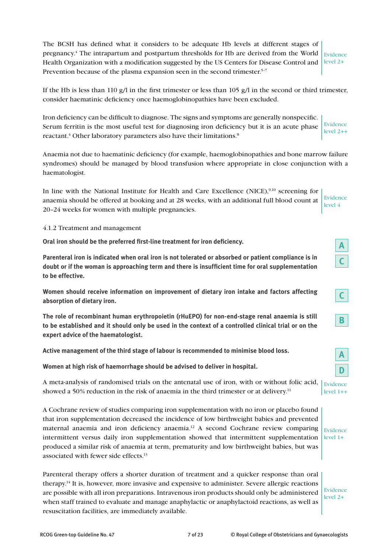The BCSH has defined what it considers to be adequate Hb levels at different stages of pregnancy.<sup>4</sup> The intrapartum and postpartum thresholds for Hb are derived from the World  $\vert$  Evidence Health Organization with a modification suggested by the US Centers for Disease Control and  $\vert$  level 2+ Prevention because of the plasma expansion seen in the second trimester.<sup>5-7</sup>

If the Hb is less than 110 g/l in the first trimester or less than 105 g/l in the second or third trimester, consider haematinic deficiency once haemoglobinopathies have been excluded.

Iron deficiency can be difficult to diagnose. The signs and symptoms are generally nonspecific. Serum ferritin is the most useful test for diagnosing iron deficiency but it is an acute phase reactant.<sup>4</sup> Other laboratory parameters also have their limitations.<sup>8</sup> Evidence level 2++

Anaemia not due to haematinic deficiency (for example, haemoglobinopathies and bone marrow failure syndromes) should be managed by blood transfusion where appropriate in close conjunction with a haematologist.

In line with the National Institute for Health and Care Excellence (NICE),<sup>9,10</sup> screening for anaemia should be offered at booking and at 28 weeks, with an additional full blood count at 20–24 weeks for women with multiple pregnancies. Evidence level 4

4.1.2 Treatment and management

**Oral iron should be the preferred first-line treatment for iron deficiency.**

**Parenteral iron is indicated when oral iron is not tolerated or absorbed or patient compliance is in doubt or if the woman is approaching term and there is insufficient time for oral supplementation to be effective.**

**Women should receive information on improvement of dietary iron intake and factors affecting absorption of dietary iron.**

**The role of recombinant human erythropoietin (rHuEPO) for non-end-stage renal anaemia is still to be established and it should only be used in the context of a controlled clinical trial or on the expert advice of the haematologist.**

**Active management of the third stage of labour is recommended to minimise blood loss.**

**Women at high risk of haemorrhage should be advised to deliver in hospital.**

A meta-analysis of randomised trials on the antenatal use of iron, with or without folic acid, showed a 50% reduction in the risk of anaemia in the third trimester or at delivery.<sup>11</sup>

A Cochrane review of studies comparing iron supplementation with no iron or placebo found that iron supplementation decreased the incidence of low birthweight babies and prevented maternal anaemia and iron deficiency anaemia.12 A second Cochrane review comparing intermittent versus daily iron supplementation showed that intermittent supplementation produced a similar risk of anaemia at term, prematurity and low birthweight babies, but was associated with fewer side effects.<sup>13</sup> Evidence  $level 1+$ 

Parenteral therapy offers a shorter duration of treatment and a quicker response than oral therapy.14 It is, however, more invasive and expensive to administer. Severe allergic reactions are possible with all iron preparations. Intravenous iron products should only be administered when staff trained to evaluate and manage anaphylactic or anaphylactoid reactions, as well as resuscitation facilities, are immediately available.

Evidence level 2+

**A**

**C**

|--|

| Evidence   |  |
|------------|--|
| $level 1+$ |  |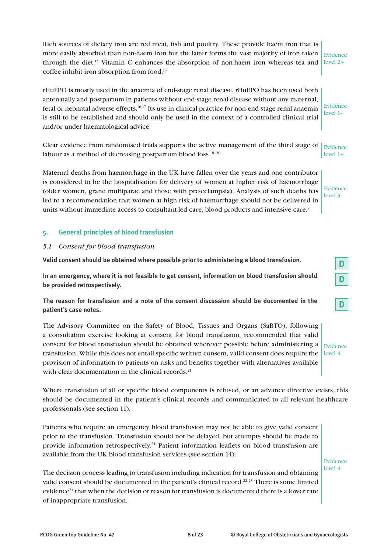Rich sources of dietary iron are red meat, fish and poultry. These provide haem iron that is more easily absorbed than non-haem iron but the latter forms the vast majority of iron taken through the diet.15 Vitamin C enhances the absorption of non-haem iron whereas tea and coffee inhibit iron absorption from food.15 Evidence level 2+

rHuEPO is mostly used in the anaemia of end-stage renal disease. rHuEPO has been used both antenatally and postpartum in patients without end-stage renal disease without any maternal, fetal or neonatal adverse effects.16,17 Its use in clinical practice for non-end-stage renal anaemia is still to be established and should only be used in the context of a controlled clinical trial and/or under haematological advice. Evidence level 1–

Clear evidence from randomised trials supports the active management of the third stage of  $\vert$  Evidence labour as a method of decreasing postpartum blood loss.<sup>18-20</sup> level 1+

Maternal deaths from haemorrhage in the UK have fallen over the years and one contributor is considered to be the hospitalisation for delivery of women at higher risk of haemorrhage (older women, grand multiparae and those with pre-eclampsia). Analysis of such deaths has led to a recommendation that women at high risk of haemorrhage should not be delivered in units without immediate access to consultant-led care, blood products and intensive care.<sup>2</sup>

Evidence level 3

**D**

**D**

**D**

#### **5. General principles of blood transfusion**

#### *5.1 Consent for blood transfusion*

**Valid consent should be obtained where possible prior to administering a blood transfusion.**

**In an emergency, where it is not feasible to get consent, information on blood transfusion should be provided retrospectively.**

**The reason for transfusion and a note of the consent discussion should be documented in the patient's case notes.**

The Advisory Committee on the Safety of Blood, Tissues and Organs (SaBTO), following a consultation exercise looking at consent for blood transfusion, recommended that valid consent for blood transfusion should be obtained wherever possible before administering a transfusion. While this does not entail specific written consent, valid consent does require the provision of information to patients on risks and benefits together with alternatives available with clear documentation in the clinical records.<sup>21</sup> Evidence level 4

Where transfusion of all or specific blood components is refused, or an advance directive exists, this should be documented in the patient's clinical records and communicated to all relevant healthcare professionals (see section 11).

Patients who require an emergency blood transfusion may not be able to give valid consent prior to the transfusion. Transfusion should not be delayed, but attempts should be made to provide information retrospectively.<sup>21</sup> Patient information leaflets on blood transfusion are available from the UK blood transfusion services (see section 14).

Evidence level 4

The decision process leading to transfusion including indication for transfusion and obtaining valid consent should be documented in the patient's clinical record.<sup>22,23</sup> There is some limited evidence<sup>24</sup> that when the decision or reason for transfusion is documented there is a lower rate of inappropriate transfusion.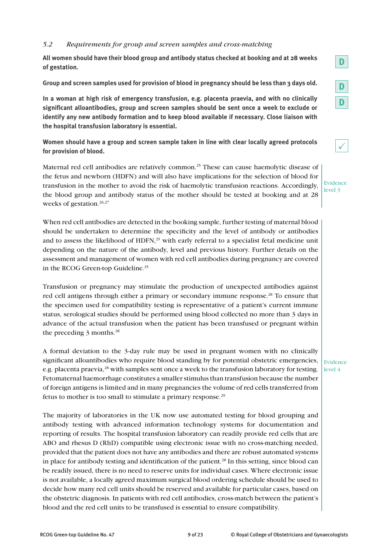#### *5.2 Requirements for group and screen samples and cross-matching*

**All women should have their blood group and antibody status checked at booking and at 28 weeks of gestation.**

**Group and screen samples used for provision of blood in pregnancy should be less than 3 days old.**

**In a woman at high risk of emergency transfusion, e.g. placenta praevia, and with no clinically significant alloantibodies, group and screen samples should be sent once a week to exclude or identify any new antibody formation and to keep blood available if necessary. Close liaison with the hospital transfusion laboratory is essential.**

**Women should have a group and screen sample taken in line with clear locally agreed protocols for provision of blood.**

Maternal red cell antibodies are relatively common.<sup>25</sup> These can cause haemolytic disease of the fetus and newborn (HDFN) and will also have implications for the selection of blood for transfusion in the mother to avoid the risk of haemolytic transfusion reactions. Accordingly, the blood group and antibody status of the mother should be tested at booking and at 28 weeks of gestation.<sup>26,27</sup>

When red cell antibodies are detected in the booking sample, further testing of maternal blood should be undertaken to determine the specificity and the level of antibody or antibodies and to assess the likelihood of HDFN,<sup>25</sup> with early referral to a specialist fetal medicine unit depending on the nature of the antibody, level and previous history. Further details on the assessment and management of women with red cell antibodies during pregnancy are covered in the RCOG Green-top Guideline.<sup>25</sup>

Transfusion or pregnancy may stimulate the production of unexpected antibodies against red cell antigens through either a primary or secondary immune response.<sup>28</sup> To ensure that the specimen used for compatibility testing is representative of a patient's current immune status, serological studies should be performed using blood collected no more than 3 days in advance of the actual transfusion when the patient has been transfused or pregnant within the preceding 3 months.<sup>28</sup>

A formal deviation to the 3-day rule may be used in pregnant women with no clinically significant alloantibodies who require blood standing by for potential obstetric emergencies, e.g. placenta praevia,<sup>28</sup> with samples sent once a week to the transfusion laboratory for testing. Fetomaternal haemorrhage constitutes a smaller stimulus than transfusion because the number of foreign antigens is limited and in many pregnancies the volume of red cells transferred from fetus to mother is too small to stimulate a primary response.29

The majority of laboratories in the UK now use automated testing for blood grouping and antibody testing with advanced information technology systems for documentation and reporting of results. The hospital transfusion laboratory can readily provide red cells that are ABO and rhesus D (RhD) compatible using electronic issue with no cross-matching needed, provided that the patient does not have any antibodies and there are robust automated systems in place for antibody testing and identification of the patient.<sup>28</sup> In this setting, since blood can be readily issued, there is no need to reserve units for individual cases. Where electronic issue is not available, a locally agreed maximum surgical blood ordering schedule should be used to decide how many red cell units should be reserved and available for particular cases, based on the obstetric diagnosis. In patients with red cell antibodies, cross-match between the patient's blood and the red cell units to be transfused is essential to ensure compatibility.

**D**

Evidence level 3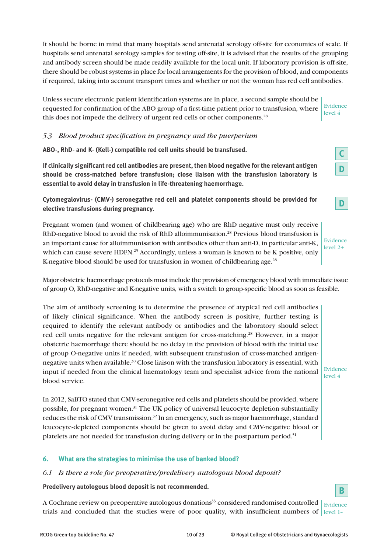It should be borne in mind that many hospitals send antenatal serology off-site for economies of scale. If hospitals send antenatal serology samples for testing off-site, it is advised that the results of the grouping and antibody screen should be made readily available for the local unit. If laboratory provision is off-site, there should be robust systems in place for local arrangements for the provision of blood, and components if required, taking into account transport times and whether or not the woman has red cell antibodies.

Unless secure electronic patient identification systems are in place, a second sample should be requested for confirmation of the ABO group of a first-time patient prior to transfusion, where this does not impede the delivery of urgent red cells or other components.<sup>28</sup> Evidence level 4

#### *5.3 Blood product specification in pregnancy and the puerperium*

**ABO-, RhD- and K- (Kell-) compatible red cell units should be transfused.**

**If clinically significant red cell antibodies are present, then blood negative for the relevant antigen should be cross-matched before transfusion; close liaison with the transfusion laboratory is essential to avoid delay in transfusion in life-threatening haemorrhage.**

**Cytomegalovirus- (CMV-) seronegative red cell and platelet components should be provided for elective transfusions during pregnancy.**

Pregnant women (and women of childbearing age) who are RhD negative must only receive RhD-negative blood to avoid the risk of RhD alloimmunisation.<sup>28</sup> Previous blood transfusion is an important cause for alloimmunisation with antibodies other than anti-D, in particular anti-K, which can cause severe HDFN.<sup>25</sup> Accordingly, unless a woman is known to be K positive, only K-negative blood should be used for transfusion in women of childbearing age.<sup>28</sup>

Major obstetric haemorrhage protocols must include the provision of emergency blood with immediate issue of group O, RhD-negative and K-negative units, with a switch to group-specific blood as soon as feasible.

The aim of antibody screening is to determine the presence of atypical red cell antibodies of likely clinical significance. When the antibody screen is positive, further testing is required to identify the relevant antibody or antibodies and the laboratory should select red cell units negative for the relevant antigen for cross-matching.<sup>28</sup> However, in a major obstetric haemorrhage there should be no delay in the provision of blood with the initial use of group O-negative units if needed, with subsequent transfusion of cross-matched antigennegative units when available.<sup>30</sup> Close liaison with the transfusion laboratory is essential, with input if needed from the clinical haematology team and specialist advice from the national blood service.

In 2012, SaBTO stated that CMV-seronegative red cells and platelets should be provided, where possible, for pregnant women.31 The UK policy of universal leucocyte depletion substantially reduces the risk of CMV transmission.<sup>32</sup> In an emergency, such as major haemorrhage, standard leucocyte-depleted components should be given to avoid delay and CMV-negative blood or platelets are not needed for transfusion during delivery or in the postpartum period.<sup>31</sup>

#### **6. What are the strategies to minimise the use of banked blood?**

#### *6.1 Is there a role for preoperative/predelivery autologous blood deposit?*

**Predelivery autologous blood deposit is not recommended.**

A Cochrane review on preoperative autologous donations<sup>33</sup> considered randomised controlled  $\vert_{\rm Evidence}$ trials and concluded that the studies were of poor quality, with insufficient numbers of level 1–

| Evidence   |
|------------|
| $level 2+$ |

**C**

**D**

**D**

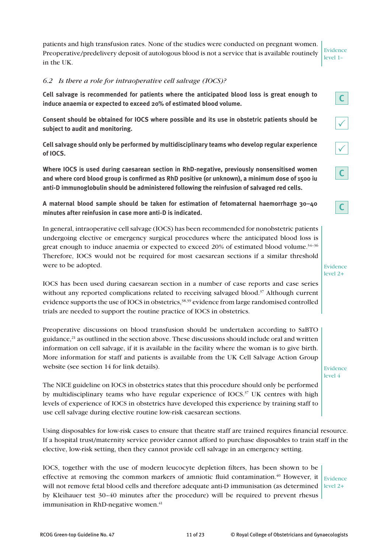patients and high transfusion rates. None of the studies were conducted on pregnant women. Preoperative/predelivery deposit of autologous blood is not a service that is available routinely in the UK.

Evidence level 1–

**C**

 $\checkmark$ 

 $\sqrt{\frac{2}{2}}$ 

**C**

**C**

### *6.2 Is there a role for intraoperative cell salvage (IOCS)?*

**Cell salvage is recommended for patients where the anticipated blood loss is great enough to induce anaemia or expected to exceed 20% of estimated blood volume.**

**Consent should be obtained for IOCS where possible and its use in obstetric patients should be subject to audit and monitoring.**

**Cell salvage should only be performed by multidisciplinary teams who develop regular experience of IOCS.**

**Where IOCS is used during caesarean section in RhD-negative, previously nonsensitised women and where cord blood group is confirmed as RhD positive (or unknown), a minimum dose of 1500 iu anti-D immunoglobulin should be administered following the reinfusion of salvaged red cells.**

**A maternal blood sample should be taken for estimation of fetomaternal haemorrhage 30–40 minutes after reinfusion in case more anti-D is indicated.**

In general, intraoperative cell salvage (IOCS) has been recommended for nonobstetric patients undergoing elective or emergency surgical procedures where the anticipated blood loss is great enough to induce anaemia or expected to exceed  $20\%$  of estimated blood volume.<sup>34-36</sup> Therefore, IOCS would not be required for most caesarean sections if a similar threshold were to be adopted.

IOCS has been used during caesarean section in a number of case reports and case series without any reported complications related to receiving salvaged blood.<sup>37</sup> Although current evidence supports the use of IOCS in obstetrics,<sup>38,39</sup> evidence from large randomised controlled trials are needed to support the routine practice of IOCS in obstetrics.

Preoperative discussions on blood transfusion should be undertaken according to SaBTO guidance, $^{21}$  as outlined in the section above. These discussions should include oral and written information on cell salvage, if it is available in the facility where the woman is to give birth. More information for staff and patients is available from the UK Cell Salvage Action Group website (see section 14 for link details).

The NICE guideline on IOCS in obstetrics states that this procedure should only be performed by multidisciplinary teams who have regular experience of  $IOCS$ <sup>37</sup> UK centres with high levels of experience of IOCS in obstetrics have developed this experience by training staff to use cell salvage during elective routine low-risk caesarean sections.

Using disposables for low-risk cases to ensure that theatre staff are trained requires financial resource. If a hospital trust/maternity service provider cannot afford to purchase disposables to train staff in the elective, low-risk setting, then they cannot provide cell salvage in an emergency setting.

IOCS, together with the use of modern leucocyte depletion filters, has been shown to be effective at removing the common markers of amniotic fluid contamination.<sup>40</sup> However, it  $\vert$  Evidence will not remove fetal blood cells and therefore adequate anti-D immunisation (as determined level 2+ by Kleihauer test 30–40 minutes after the procedure) will be required to prevent rhesus immunisation in RhD-negative women.<sup>41</sup>

Evidence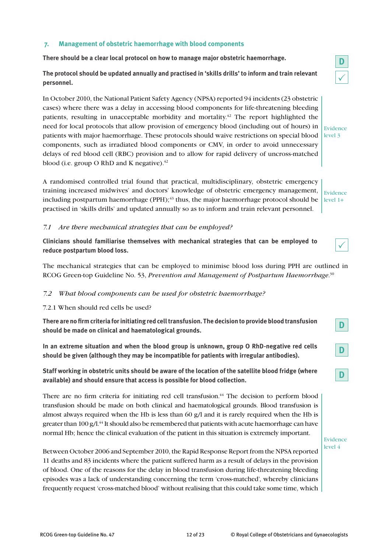#### **7. Management of obstetric haemorrhage with blood components**

**There should be a clear local protocol on how to manage major obstetric haemorrhage.** 

**The protocol should be updated annually and practised in 'skills drills' to inform and train relevant personnel.**

In October 2010, the National Patient Safety Agency (NPSA) reported 94 incidents (23 obstetric cases) where there was a delay in accessing blood components for life-threatening bleeding patients, resulting in unacceptable morbidity and mortality.<sup>42</sup> The report highlighted the need for local protocols that allow provision of emergency blood (including out of hours) in patients with major haemorrhage. These protocols should waive restrictions on special blood level 3 components, such as irradiated blood components or CMV, in order to avoid unnecessary delays of red blood cell (RBC) provision and to allow for rapid delivery of uncross-matched blood (i.e. group O RhD and K negative). $42$ 

A randomised controlled trial found that practical, multidisciplinary, obstetric emergency training increased midwives' and doctors' knowledge of obstetric emergency management, including postpartum haemorrhage (PPH);<sup>43</sup> thus, the major haemorrhage protocol should be practised in 'skills drills' and updated annually so as to inform and train relevant personnel.

*7.1 Are there mechanical strategies that can be employed?*

**Clinicians should familiarise themselves with mechanical strategies that can be employed to reduce postpartum blood loss.**

The mechanical strategies that can be employed to minimise blood loss during PPH are outlined in RCOG Green-top Guideline No. 53, *Prevention and Management of Postpartum Haemorrhage.*<sup>30</sup>

#### *7.2 What blood components can be used for obstetric haemorrhage?*

#### 7.2.1 When should red cells be used?

**There are no firm criteria for initiating red cell transfusion. The decision to provide blood transfusion should be made on clinical and haematological grounds.**

**In an extreme situation and when the blood group is unknown, group O RhD-negative red cells should be given (although they may be incompatible for patients with irregular antibodies).**

**Staff working in obstetric units should be aware of the location of the satellite blood fridge (where available) and should ensure that access is possible for blood collection.**

There are no firm criteria for initiating red cell transfusion. $44$  The decision to perform blood transfusion should be made on both clinical and haematological grounds. Blood transfusion is almost always required when the Hb is less than 60 g/l and it is rarely required when the Hb is greater than  $100 \text{ g}/\text{l}^{44}$  It should also be remembered that patients with acute haemorrhage can have normal Hb; hence the clinical evaluation of the patient in this situation is extremely important.

Between October 2006 and September 2010, the Rapid Response Report from the NPSA reported 11 deaths and 83 incidents where the patient suffered harm as a result of delays in the provision of blood. One of the reasons for the delay in blood transfusion during life-threatening bleeding episodes was a lack of understanding concerning the term 'cross-matched', whereby clinicians frequently request 'cross-matched blood' without realising that this could take some time, which

Evidence

Evidence level 1+



**D**

**D**

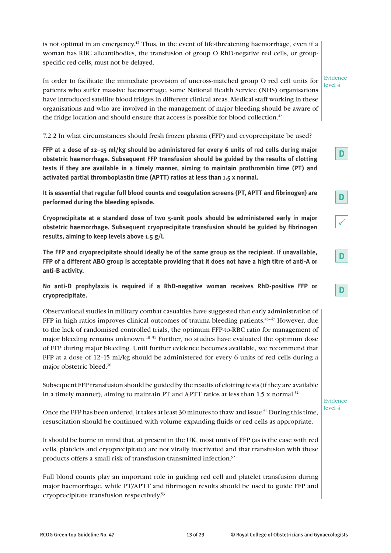is not optimal in an emergency.<sup>42</sup> Thus, in the event of life-threatening haemorrhage, even if a woman has RBC alloantibodies, the transfusion of group O RhD-negative red cells, or groupspecific red cells, must not be delayed.

In order to facilitate the immediate provision of uncross-matched group O red cell units for patients who suffer massive haemorrhage, some National Health Service (NHS) organisations have introduced satellite blood fridges in different clinical areas. Medical staff working in these organisations and who are involved in the management of major bleeding should be aware of the fridge location and should ensure that access is possible for blood collection.<sup>42</sup> Evidence level 4

7.2.2 In what circumstances should fresh frozen plasma (FFP) and cryoprecipitate be used?

**FFP at a dose of 12–15 ml/kg should be administered for every 6 units of red cells during major obstetric haemorrhage. Subsequent FFP transfusion should be guided by the results of clotting tests if they are available in a timely manner, aiming to maintain prothrombin time (PT) and activated partial thromboplastin time (APTT) ratios at less than 1.5 x normal.**

**It is essential that regular full blood counts and coagulation screens (PT, APTT and fibrinogen) are performed during the bleeding episode.**

**Cryoprecipitate at a standard dose of two 5-unit pools should be administered early in major obstetric haemorrhage. Subsequent cryoprecipitate transfusion should be guided by fibrinogen results, aiming to keep levels above 1.5 g/l.**

**The FFP and cryoprecipitate should ideally be of the same group as the recipient. If unavailable, FFP of a different ABO group is acceptable providing that it does not have a high titre of anti-A or anti-B activity.**

**No anti-D prophylaxis is required if a RhD-negative woman receives RhD-positive FFP or cryoprecipitate.**

Observational studies in military combat casualties have suggested that early administration of FFP in high ratios improves clinical outcomes of trauma bleeding patients. $45-47$  However, due to the lack of randomised controlled trials, the optimum FFP-to-RBC ratio for management of major bleeding remains unknown.<sup>48–51</sup> Further, no studies have evaluated the optimum dose of FFP during major bleeding. Until further evidence becomes available, we recommend that FFP at a dose of 12–15 ml/kg should be administered for every 6 units of red cells during a major obstetric bleed.30

Subsequent FFP transfusion should be guided by the results of clotting tests (if they are available in a timely manner), aiming to maintain PT and APTT ratios at less than  $1.5 \times$  normal.<sup>52</sup>

Evidence level 4

Once the FFP has been ordered, it takes at least 30 minutes to thaw and issue.<sup>52</sup> During this time, resuscitation should be continued with volume expanding fluids or red cells as appropriate.

It should be borne in mind that, at present in the UK, most units of FFP (as is the case with red cells, platelets and cryoprecipitate) are not virally inactivated and that transfusion with these products offers a small risk of transfusion-transmitted infection.<sup>52</sup>

Full blood counts play an important role in guiding red cell and platelet transfusion during major haemorrhage, while PT/APTT and fibrinogen results should be used to guide FFP and cryoprecipitate transfusion respectively.53

 $\checkmark$ 

**D**

**D**

**D**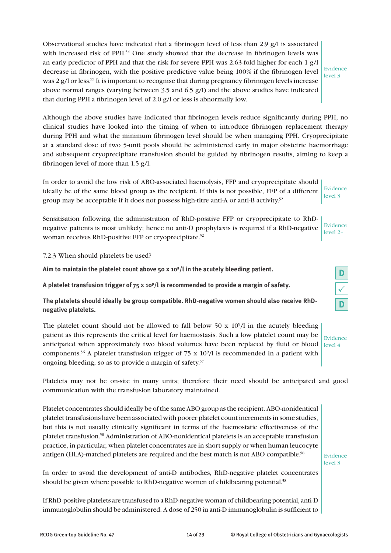Observational studies have indicated that a fibrinogen level of less than 2.9 g/l is associated with increased risk of PPH.<sup>54</sup> One study showed that the decrease in fibrinogen levels was an early predictor of PPH and that the risk for severe PPH was 2.63-fold higher for each 1 g/l decrease in fibrinogen, with the positive predictive value being 100% if the fibrinogen level was 2 g/l or less.<sup>55</sup> It is important to recognise that during pregnancy fibrinogen levels increase above normal ranges (varying between 3.5 and 6.5 g/l) and the above studies have indicated that during PPH a fibrinogen level of 2.0 g/l or less is abnormally low.

Evidence level 3

Although the above studies have indicated that fibrinogen levels reduce significantly during PPH, no clinical studies have looked into the timing of when to introduce fibrinogen replacement therapy during PPH and what the minimum fibrinogen level should be when managing PPH. Cryoprecipitate at a standard dose of two 5-unit pools should be administered early in major obstetric haemorrhage and subsequent cryoprecipitate transfusion should be guided by fibrinogen results, aiming to keep a fibrinogen level of more than 1.5 g/l.

In order to avoid the low risk of ABO-associated haemolysis, FFP and cryoprecipitate should ideally be of the same blood group as the recipient. If this is not possible, FFP of a different group may be acceptable if it does not possess high-titre anti-A or anti-B activity.<sup>52</sup> Evidence level 3

Sensitisation following the administration of RhD-positive FFP or cryoprecipitate to RhDnegative patients is most unlikely; hence no anti-D prophylaxis is required if a RhD-negative woman receives RhD-positive FFP or cryoprecipitate.<sup>52</sup> Evidence level 2–

7.2.3 When should platelets be used?

**Aim to maintain the platelet count above 50 x 109 /l in the acutely bleeding patient.**

**A platelet transfusion trigger of 75 x 109 /l is recommended to provide a margin of safety.**

**The platelets should ideally be group compatible. RhD-negative women should also receive RhDnegative platelets.**

The platelet count should not be allowed to fall below  $50 \times 10^9/1$  in the acutely bleeding patient as this represents the critical level for haemostasis. Such a low platelet count may be anticipated when approximately two blood volumes have been replaced by fluid or blood components.<sup>56</sup> A platelet transfusion trigger of 75 x 10<sup>9</sup>/l is recommended in a patient with ongoing bleeding, so as to provide a margin of safety.<sup>57</sup>

Platelets may not be on-site in many units; therefore their need should be anticipated and good communication with the transfusion laboratory maintained.

Platelet concentrates should ideally be of the same ABO group as the recipient. ABO-nonidentical platelet transfusions have been associated with poorer platelet count increments in some studies, but this is not usually clinically significant in terms of the haemostatic effectiveness of the platelet transfusion.58 Administration of ABO-nonidentical platelets is an acceptable transfusion practice, in particular, when platelet concentrates are in short supply or when human leucocyte antigen (HLA)-matched platelets are required and the best match is not ABO compatible.<sup>58</sup>

Evidence level 3

In order to avoid the development of anti-D antibodies, RhD-negative platelet concentrates should be given where possible to RhD-negative women of childbearing potential.<sup>58</sup>

If RhD-positive platelets are transfused to a RhD-negative woman of childbearing potential, anti-D immunoglobulin should be administered. A dose of 250 iu anti-D immunoglobulin is sufficient to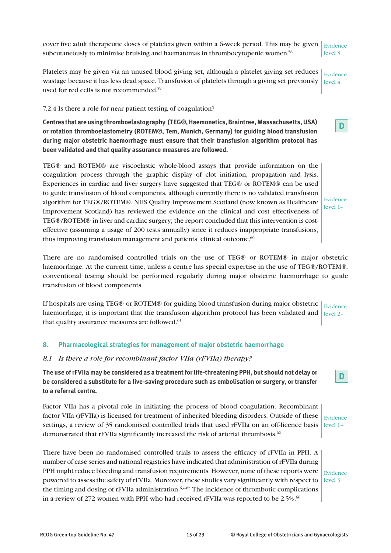cover five adult therapeutic doses of platelets given within a 6-week period. This may be given  $\vert$  Evidence subcutaneously to minimise bruising and haematomas in thrombocytopenic women.<sup>58</sup>

Platelets may be given via an unused blood giving set, although a platelet giving set reduces wastage because it has less dead space. Transfusion of platelets through a giving set previously used for red cells is not recommended.<sup>59</sup> Evidence level 4

#### 7.2.4 Is there a role for near patient testing of coagulation?

**Centres that are using thromboelastography (TEG®, Haemonetics, Braintree, Massachusetts, USA) or rotation thromboelastometry (ROTEM®, Tem, Munich, Germany) for guiding blood transfusion during major obstetric haemorrhage must ensure that their transfusion algorithm protocol has been validated and that quality assurance measures are followed.**

TEG® and ROTEM® are viscoelastic whole-blood assays that provide information on the coagulation process through the graphic display of clot initiation, propagation and lysis. Experiences in cardiac and liver surgery have suggested that TEG® or ROTEM® can be used to guide transfusion of blood components, although currently there is no validated transfusion algorithm for TEG®/ROTEM®. NHS Quality Improvement Scotland (now known as Healthcare Improvement Scotland) has reviewed the evidence on the clinical and cost effectiveness of TEG®/ROTEM® in liver and cardiac surgery; the report concluded that this intervention is costeffective (assuming a usage of 200 tests annually) since it reduces inappropriate transfusions, thus improving transfusion management and patients' clinical outcome.<sup>60</sup>

There are no randomised controlled trials on the use of TEG® or ROTEM® in major obstetric haemorrhage. At the current time, unless a centre has special expertise in the use of TEG®/ROTEM®, conventional testing should be performed regularly during major obstetric haemorrhage to guide transfusion of blood components.

If hospitals are using TEG® or ROTEM® for guiding blood transfusion during major obstetric haemorrhage, it is important that the transfusion algorithm protocol has been validated and that quality assurance measures are followed.<sup>61</sup> Evidence level 2–

#### **8. Pharmacological strategies for management of major obstetric haemorrhage**

#### *8.1 Is there a role for recombinant factor VIIa (rFVIIa) therapy?*

**The use of rFVIIa may be considered as a treatment for life-threatening PPH, but should not delay or be considered a substitute for a live-saving procedure such as embolisation or surgery, or transfer to a referral centre.**

Factor VIIa has a pivotal role in initiating the process of blood coagulation. Recombinant factor VIIa (rFVIIa) is licensed for treatment of inherited bleeding disorders. Outside of these settings, a review of 35 randomised controlled trials that used rFVIIa on an off-licence basis demonstrated that rFVIIa significantly increased the risk of arterial thrombosis.<sup>62</sup> Evidence  $level 1+$ 

There have been no randomised controlled trials to assess the efficacy of rFVIIa in PPH. A number of case series and national registries have indicated that administration of rFVIIa during PPH might reduce bleeding and transfusion requirements. However, none of these reports were powered to assess the safety of rFVIIa. Moreover, these studies vary significantly with respect to the timing and dosing of rFVIIa administration.<sup>63–65</sup> The incidence of thrombotic complications in a review of 272 women with PPH who had received rFVIIa was reported to be 2.5%.<sup>66</sup>

Evidence level 3

level 3

**D**

Evidence level 1–

**D**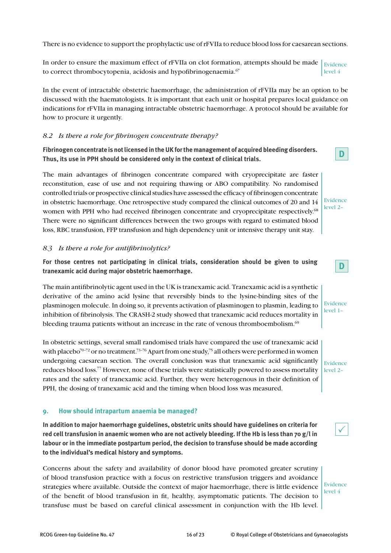There is no evidence to support the prophylactic use of rFVIIa to reduce blood loss for caesarean sections.

In order to ensure the maximum effect of rFVIIa on clot formation, attempts should be made  $\vert_{\rm Evidence}$ to correct thrombocytopenia, acidosis and hypofibrinogenaemia. $67$ level 4

In the event of intractable obstetric haemorrhage, the administration of rFVIIa may be an option to be discussed with the haematologists. It is important that each unit or hospital prepares local guidance on indications for rFVIIa in managing intractable obstetric haemorrhage. A protocol should be available for how to procure it urgently.

#### *8.2 Is there a role for fibrinogen concentrate therapy?*

**Fibrinogen concentrate is not licensed in the UK for the management of acquired bleeding disorders. Thus, its use in PPH should be considered only in the context of clinical trials.**

The main advantages of fibrinogen concentrate compared with cryoprecipitate are faster reconstitution, ease of use and not requiring thawing or ABO compatibility. No randomised controlled trials or prospective clinical studies have assessed the efficacy of fibrinogen concentrate in obstetric haemorrhage. One retrospective study compared the clinical outcomes of 20 and 14 women with PPH who had received fibrinogen concentrate and cryoprecipitate respectively.<sup>68</sup> There were no significant differences between the two groups with regard to estimated blood loss, RBC transfusion, FFP transfusion and high dependency unit or intensive therapy unit stay.

#### *8.3 Is there a role for antifibrinolytics?*

**For those centres not participating in clinical trials, consideration should be given to using tranexamic acid during major obstetric haemorrhage.**

The main antifibrinolytic agent used in the UK is tranexamic acid. Tranexamic acid is a synthetic derivative of the amino acid lysine that reversibly binds to the lysine-binding sites of the plasminogen molecule. In doing so, it prevents activation of plasminogen to plasmin, leading to inhibition of fibrinolysis. The CRASH-2 study showed that tranexamic acid reduces mortality in bleeding trauma patients without an increase in the rate of venous thromboembolism.<sup>69</sup>

In obstetric settings, several small randomised trials have compared the use of tranexamic acid with placebo<sup>70–72</sup> or no treatment.<sup>73–76</sup> Apart from one study,<sup>75</sup> all others were performed in women undergoing caesarean section. The overall conclusion was that tranexamic acid significantly reduces blood loss.77 However, none of these trials were statistically powered to assess mortality rates and the safety of tranexamic acid. Further, they were heterogenous in their definition of PPH, the dosing of tranexamic acid and the timing when blood loss was measured.

#### **9. How should intrapartum anaemia be managed?**

**In addition to major haemorrhage guidelines, obstetric units should have guidelines on criteria for red cell transfusion in anaemic women who are not actively bleeding. If the Hb is less than 70 g/l in labour or in the immediate postpartum period, the decision to transfuse should be made according to the individual's medical history and symptoms.**

Concerns about the safety and availability of donor blood have promoted greater scrutiny of blood transfusion practice with a focus on restrictive transfusion triggers and avoidance strategies where available. Outside the context of major haemorrhage, there is little evidence of the benefit of blood transfusion in fit, healthy, asymptomatic patients. The decision to transfuse must be based on careful clinical assessment in conjunction with the Hb level.

Evidence level 4

**D**

**D**

Evidence level 1–

Evidence level 2–

Evidence level 2–

 $\checkmark$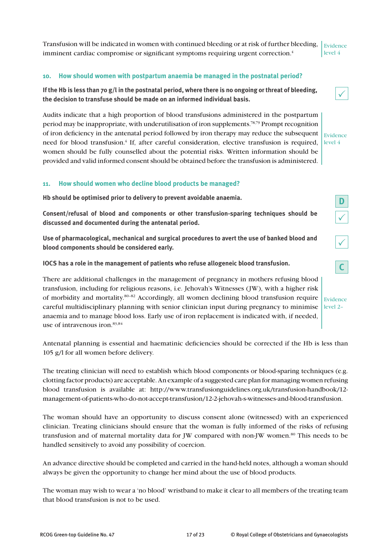**discussed and documented during the antenatal period.**

**blood components should be considered early.**

**IOCS has a role in the management of patients who refuse allogeneic blood transfusion.**

There are additional challenges in the management of pregnancy in mothers refusing blood transfusion, including for religious reasons, i.e. Jehovah's Witnesses (JW), with a higher risk of morbidity and mortality.80–82 Accordingly, all women declining blood transfusion require careful multidisciplinary planning with senior clinician input during pregnancy to minimise anaemia and to manage blood loss. Early use of iron replacement is indicated with, if needed, use of intravenous iron.<sup>83,84</sup> Evidence level 2–

Antenatal planning is essential and haematinic deficiencies should be corrected if the Hb is less than 105 g/l for all women before delivery.

The treating clinician will need to establish which blood components or blood-sparing techniques (e.g. clotting factor products) are acceptable. An example of a suggested care plan for managing women refusing blood transfusion is available at: http://www.transfusionguidelines.org.uk/transfusion-handbook/12 management-of-patients-who-do-not-accept-transfusion/12-2-jehovah-s-witnesses-and-blood-transfusion.

The woman should have an opportunity to discuss consent alone (witnessed) with an experienced clinician. Treating clinicians should ensure that the woman is fully informed of the risks of refusing transfusion and of maternal mortality data for JW compared with non-JW women.80 This needs to be handled sensitively to avoid any possibility of coercion.

An advance directive should be completed and carried in the hand-held notes, although a woman should always be given the opportunity to change her mind about the use of blood products.

The woman may wish to wear a 'no blood' wristband to make it clear to all members of the treating team that blood transfusion is not to be used.

#### **10. How should women with postpartum anaemia be managed in the postnatal period?**

**If the Hb is less than 70 g/l in the postnatal period, where there is no ongoing or threat of bleeding, the decision to transfuse should be made on an informed individual basis.**

Audits indicate that a high proportion of blood transfusions administered in the postpartum period may be inappropriate, with underutilisation of iron supplements.<sup>78,79</sup> Prompt recognition of iron deficiency in the antenatal period followed by iron therapy may reduce the subsequent need for blood transfusion.<sup>4</sup> If, after careful consideration, elective transfusion is required, level 4 women should be fully counselled about the potential risks. Written information should be provided and valid informed consent should be obtained before the transfusion is administered.

## **11. How should women who decline blood products be managed?**

**Hb should be optimised prior to delivery to prevent avoidable anaemia.**

**Consent/refusal of blood and components or other transfusion-sparing techniques should be** 

**Use of pharmacological, mechanical and surgical procedures to avert the use of banked blood and** 

**D**

 $\checkmark$ 

 $\checkmark$ 

Evidence

 $\checkmark$ 

**C**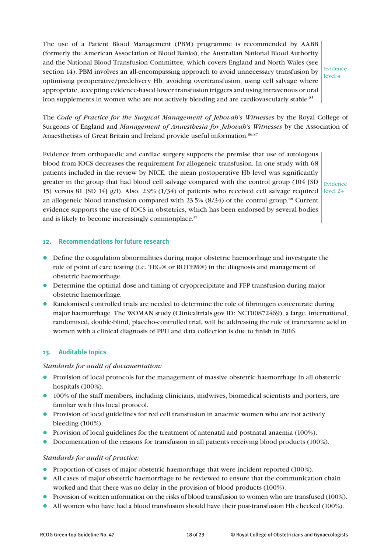The use of a Patient Blood Management (PBM) programme is recommended by AABB (formerly the American Association of Blood Banks), the Australian National Blood Authority and the National Blood Transfusion Committee, which covers England and North Wales (see section 14). PBM involves an all-encompassing approach to avoid unnecessary transfusion by optimising preoperative/predelivery Hb, avoiding overtransfusion, using cell salvage where appropriate, accepting evidence-based lower transfusion triggers and using intravenous or oral iron supplements in women who are not actively bleeding and are cardiovascularly stable.<sup>85</sup>

Evidence level 4

The *Code of Practice for the Surgical Management of Jehovah's Witnesses* by the Royal College of Surgeons of England and *Management of Anaesthesia for Jehovah's Witnesses* by the Association of Anaesthetists of Great Britain and Ireland provide useful information.<sup>86,87</sup>

Evidence from orthopaedic and cardiac surgery supports the premise that use of autologous blood from IOCS decreases the requirement for allogeneic transfusion. In one study with 68 patients included in the review by NICE, the mean postoperative Hb level was significantly greater in the group that had blood cell salvage compared with the control group (104 [SD  $\vert$  Evidence 15] versus 81 [SD 14]  $g$ /l). Also, 2.9% (1/34) of patients who received cell salvage required level 2+ an allogeneic blood transfusion compared with  $23.5\%$   $(8/34)$  of the control group.<sup>88</sup> Current evidence supports the use of IOCS in obstetrics, which has been endorsed by several bodies and is likely to become increasingly commonplace.<sup>37</sup>

#### **12. Recommendations for future research**

- Define the coagulation abnormalities during major obstetric haemorrhage and investigate the role of point of care testing (i.e. TEG® or ROTEM®) in the diagnosis and management of obstetric haemorrhage.
- l Determine the optimal dose and timing of cryoprecipitate and FFP transfusion during major obstetric haemorrhage.
- Randomised controlled trials are needed to determine the role of fibrinogen concentrate during major haemorrhage. The WOMAN study (Clinicaltrials.gov ID: NCT00872469), a large, international, randomised, double-blind, placebo-controlled trial, will be addressing the role of tranexamic acid in women with a clinical diagnosis of PPH and data collection is due to finish in 2016.

#### **13. Auditable topics**

#### *Standards for audit of documentation:*

- l Provision of local protocols for the management of massive obstetric haemorrhage in all obstetric hospitals (100%).
- 100% of the staff members, including clinicians, midwives, biomedical scientists and porters, are familiar with this local protocol.
- **•** Provision of local guidelines for red cell transfusion in anaemic women who are not actively bleeding (100%).
- Provision of local guidelines for the treatment of antenatal and postnatal anaemia (100%).
- Documentation of the reasons for transfusion in all patients receiving blood products (100%).

#### *Standards for audit of practice:*

- Proportion of cases of major obstetric haemorrhage that were incident reported (100%).
- All cases of major obstetric haemorrhage to be reviewed to ensure that the communication chain worked and that there was no delay in the provision of blood products (100%).
- **•** Provision of written information on the risks of blood transfusion to women who are transfused (100%).
- All women who have had a blood transfusion should have their post-transfusion Hb checked (100%).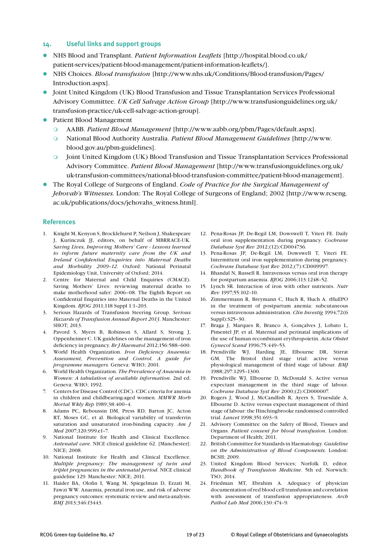#### **14. Useful links and support groups**

- l NHS Blood and Transplant. *Patient Information Leaflets* [http://hospital.blood.co.uk/ patient-services/patient-blood-management/patient-information-leaflets/].
- l NHS Choices. *Blood transfusion* [http://www.nhs.uk/Conditions/Blood-transfusion/Pages/ Introduction.aspx].
- l Joint United Kingdom (UK) Blood Transfusion and Tissue Transplantation Services Professional Advisory Committee. *UK Cell Salvage Action Group* [http://www.transfusionguidelines.org.uk/ transfusion-practice/uk-cell-salvage-action-group].
- Patient Blood Management
	- m AABB. *Patient Blood Management* [http://www.aabb.org/pbm/Pages/default.aspx].
	- m National Blood Authority Australia. *Patient Blood Management Guidelines* [http://www. blood.gov.au/pbm-guidelines].
	- m Joint United Kingdom (UK) Blood Transfusion and Tissue Transplantation Services Professional Advisory Committee. *Patient Blood Management* [http://www.transfusionguidelines.org.uk/ uk-transfusion-committees/national-blood-transfusion-committee/patient-blood-management].
- l The Royal College of Surgeons of England. *Code of Practice for the Surgical Management of Jehovah's Witnesses*. London: The Royal College of Surgeons of England; 2002 [http://www.rcseng. ac.uk/publications/docs/jehovahs\_witness.html].

#### **References**

- 1. Knight M, Kenyon S, Brocklehurst P, Neilson J, Shakespeare J, Kurinczuk JJ, editors, on behalf of MBRRACE-UK. *Saving Lives, Improving Mothers' Care - Lessons learned to inform future maternity care from the UK and Ireland Confidential Enquiries into Maternal Deaths and Morbidity 2009–12*. Oxford: National Perinatal Epidemiology Unit, University of Oxford; 2014.
- 2. Centre for Maternal and Child Enquiries (CMACE). Saving Mothers' Lives: reviewing maternal deaths to make motherhood safer: 2006–08. The Eighth Report on Confidential Enquiries into Maternal Deaths in the United Kingdom. *BJOG* 2011;118 Suppl 1:1–203.
- 3. Serious Hazards of Transfusion Steering Group. *Serious Hazards of Transfusion Annual Report 2013*. Manchester: SHOT; 2013.
- 4. Pavord S, Myers B, Robinson S, Allard S, Strong J, Oppenheimer C. UK guidelines on the management of iron deficiency in pregnancy. *Br J Haematol* 2012;156:588–600.
- 5. World Health Organization. *Iron Deficiency Anaemia: Assessment, Prevention and Control. A guide for programme managers*. Geneva: WHO; 2001.
- 6. World Health Organization. *The Prevalence of Anaemia in Women: A tabulation of available information*. 2nd ed. Geneva: WHO; 1992.
- 7. Centers for Disease Control (CDC). CDC criteria for anemia in children and childbearing-aged women. *MMWR Morb Mortal Wkly Rep* 1989;38:400–4.
- 8. Adams PC, Reboussin DM, Press RD, Barton JC, Acton RT, Moses GC, et al. Biological variability of transferrin saturation and unsaturated iron-binding capacity. *Am J Med* 2007;120:999.e1–7.
- 9. National Institute for Health and Clinical Excellence. *Antenatal care*. NICE clinical guideline 62. [Manchester]: NICE; 2008.
- 10. National Institute for Health and Clinical Excellence. *Multiple pregnancy: The management of twin and triplet pregnancies in the antenatal period*. NICE clinical guideline 129. Manchester: NICE; 2011.
- 11. Haider BA, Olofin I, Wang M, Spiegelman D, Ezzati M, Fawzi WW. Anaemia, prenatal iron use, and risk of adverse pregnancy outcomes: systematic review and meta-analysis. *BMJ* 2013;346:f3443.
- 12. Pena-Rosas JP, De-Regil LM, Dowswell T, Viteri FE. Daily oral iron supplementation during pregnancy. *Cochrane Database Syst Rev* 2012;(12):CD004736.
- 13. Pena-Rosas JP, De-Regil LM, Dowswell T, Viteri FE. Intermittent oral iron supplementation during pregnancy. *Cochrane Database Syst Rev* 2012;(7):CD009997.
- 14. Bhandal N, Russell R. Intravenous versus oral iron therapy for postpartum anaemia. *BJOG* 2006;113:1248–52.
- 15. Lynch SR. Interaction of iron with other nutrients. *Nutr Rev* 1997;55:102–10.
- 16. Zimmermann R, Breymann C, Huch R, Huch A. rHuEPO in the treatment of postpartum anemia: subcutaneous versus intravenous administration. *Clin Investig* 1994;72(6 Suppl):S25–30.
- 17. Braga J, Marques R, Branco A, Gonçalves J, Lobato L, Pimentel JP, et al. Maternal and perinatal implications of the use of human recombinant erythropoietin. *Acta Obstet Gynecol Scand* 1996;75:449–53.
- 18. Prendiville WJ, Harding JE, Elbourne DR, Stirrat GM. The Bristol third stage trial: active versus physiological management of third stage of labour. *BMJ* 1988;297:1295–1300.
- 19. Prendiville WJ, Elbourne D, McDonald S. Active versus expectant management in the third stage of labour. *Cochrane Database Syst Rev* 2000;(2):CD000007.
- 20. Rogers J, Wood J, McCandlish R, Ayers S, Truesdale A, Elbourne D. Active versus expectant management of third stage of labour: the Hinchingbrooke randomised controlled trial. *Lancet* 1998;351:693–9.
- 21. Advisory Committee on the Safety of Blood, Tissues and Organs. *Patient consent for blood transfusion*. London: Department of Health; 2011.
- 22. British Committee for Standards in Haematology. *Guideline on the Administration of Blood Components*. London: BCSH; 2009.
- 23. United Kingdom Blood Services; Norfolk D, editor. *Handbook of Transfusion Medicine*. 5th ed. Norwich: TSO; 2014.
- 24. Friedman MT, Ebrahim A. Adequacy of physician documentation of red blood cell transfusion and correlation with assessment of transfusion appropriateness. *Arch Pathol Lab Med* 2006;130:474–9.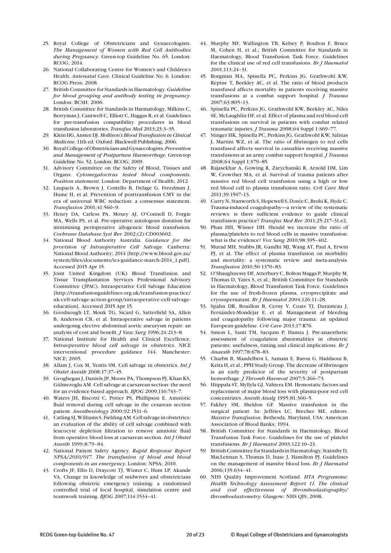- 25. Royal College of Obstetricians and Gynaecologists. *The Management of Women with Red Cell Antibodies during Pregnancy*. Green-top Guideline No. 65. London: RCOG; 2014.
- 26. National Collaborating Centre for Women's and Children's Health. *Antenatal Care*. Clinical Guideline No. 6. London: RCOG Press; 2008.
- 27. British Committee for Standards in Haematology. *Guideline for blood grouping and antibody testing in pregnancy*. London: BCSH; 2006.
- 28. British Committee for Standards in Haematology, Milkins C, Berryman J, Cantwell C, Elliott C, Haggas R, et al. Guidelines for pre-transfusion compatibility procedures in blood transfusion laboratories. *Transfus Med* 2013;23:3–35.
- 29. Klein HG, Anstee DJ. *Mollison's Blood Transfusion in Clinical Medicine*. 11th ed. Oxford: Blackwell Publishing; 2006.
- 30. Royal College of Obstetricians and Gynaecologists. *Prevention and Management of Postpartum Haemorrhage*. Green-top Guideline No. 52. London: RCOG; 2009.
- 31. Advisory Committee on the Safety of Blood, Tissues and Organs. *Cytomegalovirus tested blood components. Position statement*. London: Department of Health; 2012.
- 32. Laupacis A, Brown J, Costello B, Delage G, Freedman J, Hume H, et al. Prevention of posttransfusion CMV in the era of universal WBC reduction: a consensus statement. *Transfusion* 2001;41:560–9.
- 33. Henry DA, Carless PA, Moxey AJ, O'Connell D, Forgie MA, Wells PS, et al. Pre-operative autologous donation for minimising perioperative allogeneic blood transfusion. *Cochrane Database Syst Rev* 2002;(2):CD003602.
- 34. National Blood Authority Australia. *Guidance for the provision of Intraoperative Cell Salvage*. Canberra: National Blood Authority; 2014 [http://www.blood.gov.au/ system/files/documents/ics-guidance-march-2014\_1.pdf]. Accessed 2015 Apr 15.
- 35. Joint United Kingdom (UK) Blood Transfusion and Tissue Transplantation Services Professional Advisory Committee (JPAC). Intraoperative Cell Salvage Education [http://transfusionguidelines.org.uk/transfusion-practice/ uk-cell-salvage-action-group/intraoperative-cell-salvageeducation]. Accessed 2015 Apr 15.
- 36. Goodnough LT, Monk TG, Sicard G, Satterfield SA, Allen B, Anderson CB, et al. Intraoperative salvage in patients undergoing elective abdominal aortic aneurysm repair: an analysis of cost and benefit. *J Vasc Surg* 1996;24:213–8.
- 37. National Institute for Health and Clinical Excellence. *Intraoperative blood cell salvage in obstetrics*. NICE interventional procedure guidance 144. Manchester: NICE; 2005.
- 38. Allam J, Cox M, Yentis SM. Cell salvage in obstetrics. *Int J Obstet Anesth* 2008;17:37–45.
- 39. Geoghegan J, Daniels JP, Moore PA, Thompson PJ, Khan KS, Gülmezoglu AM. Cell salvage at caesarean section: the need for an evidence-based approach. *BJOG* 2009;116:743–7.
- 40. Waters JH, Biscotti C, Potter PS, Phillipson E. Amniotic fluid removal during cell salvage in the cesarean section patient. *Anesthesiology* 2000;92:1531–6.
- 41. Catling SJ, Williams S, Fielding AM. Cell salvage in obstetrics: an evaluation of the ability of cell salvage combined with leucocyte depletion filtration to remove amniotic fluid from operative blood loss at caesarean section. *Int J Obstet Anesth* 1999;8:79–84.
- 42. National Patient Safety Agency. *Rapid Response Report NPSA/2010/017. The transfusion of blood and blood components in an emergency*. London: NPSA; 2010.
- 43. Crofts JF, Ellis D, Draycott TJ, Winter C, Hunt LP, Akande VA. Change in knowledge of midwives and obstetricians following obstetric emergency training: a randomised controlled trial of local hospital, simulation centre and teamwork training. *BJOG* 2007;114:1534–41.
- 44. Murphy MF, Wallington TB, Kelsey P, Boulton F, Bruce M, Cohen H, et al.; British Committee for Standards in Haematology, Blood Transfusion Task Force. Guidelines for the clinical use of red cell transfusions. *Br J Haematol*  2001;113:24–31.
- 45. Borgman MA, Spinella PC, Perkins JG, Grathwohl KW, Repine T, Beekley AC, et al. The ratio of blood products transfused affects mortality in patients receiving massive transfusions at a combat support hospital. *J Trauma*  2007;63:805–13.
- 46. Spinella PC, Perkins JG, Grathwohl KW, Beekley AC, Niles SE, McLaughlin DF, et al. Effect of plasma and red blood cell transfusions on survival in patients with combat related traumatic injuries. *J Trauma* 2008;64 Suppl 1:S69–77.
- 47. Stinger HK, Spinella PC, Perkins JG, Grathwohl KW, Salinas J, Martini WZ, et al. The ratio of fibrinogen to red cells transfused affects survival in casualties receiving massive transfusions at an army combat support hospital. *J Trauma*  2008;64 Suppl 1:S79–85.
- 48. Rajasekhar A, Gowing R, Zarychanski R, Arnold DM, Lim W, Crowther MA, et al. Survival of trauma patients after massive red blood cell transfusion using a high or low red blood cell to plasma transfusion ratio. *Crit Care Med*  2011;39:1507–13.
- 49. Curry N, Stanworth S, Hopewell S, Dorée C, Brohi K, Hyde C. Trauma-induced coagulopathy—a review of the systematic reviews: is there sufficient evidence to guide clinical transfusion practice? *Transfus Med Rev* 2011;25:217–31.e2.
- 50. Phan HH, Wisner DH. Should we increase the ratio of plasma/platelets to red blood cells in massive transfusion: what is the evidence? *Vox Sang* 2010;98:395–402.
- 51. Murad MH, Stubbs JR, Gandhi MJ, Wang AT, Paul A, Erwin PJ, et al. The effect of plasma transfusion on morbidity and mortality: a systematic review and meta-analysis. *Transfusion* 2010;50:1370–83.
- 52. O'Shaughnessy DF, Atterbury C, Bolton Maggs P, Murphy M, Thomas D, Yates S, et al.; British Committee for Standards in Haematology, Blood Transfusion Task Force. Guidelines for the use of fresh-frozen plasma, cryoprecipitate and cryosupernatant. *Br J Haematol* 2004;126:11–28.
- 53. Spahn DR, Bouillon B, Cerny V, Coats TJ, Duranteau J, Fernández-Mondéjar E, et al. Management of bleeding and coagulopathy following major trauma: an updated European guideline. *Crit Care* 2013;17:R76.
- 54. Simon L, Santi TM, Sacquin P, Hamza J. Pre-anaesthetic assessment of coagulation abnormalities in obstetric patients: usefulness, timing and clinical implications. *Br J Anaesth* 1997;78:678–83.
- 55. Charbit B, Mandelbrot L, Samain E, Baron G, Haddaoui B, Keita H, et al.; PPH Study Group. The decrease of fibrinogen is an early predictor of the severity of postpartum hemorrhage. *J Thromb Haemost* 2007;5:266–73.
- 56. Hiippala ST, Myllyla GJ, Vahtera EM. Hemostatic factors and replacement of major blood loss with plasma-poor red cell concentrates. *Anesth Analg* 1995;81:360–5.
- 57. Fakhry SM, Sheldon GF. Massive transfusion in the surgical patient. In: Jeffries LC, Brecher ME, editors. *Massive Transfusion*. Bethesda, Maryland, USA: American Association of Blood Banks; 1994.
- 58. British Committee for Standards in Haematology, Blood Transfusion Task Force. Guidelines for the use of platelet transfusions. *Br J Haematol* 2003;122:10–23.
- 59. British Committee for Standards in Haematology, Stainsby D, MacLennan S, Thomas D, Isaac J, Hamilton PJ. Guidelines on the management of massive blood loss. *Br J Haematol*  2006;135:634–41.
- 60. NHS Quality Improvement Scotland. *HTA Programme: Health Technology Assessment Report 11. The clinical and cost effectiveness of thromboelastography/ thromboelastometry*. Glasgow: NHS QIS; 2008.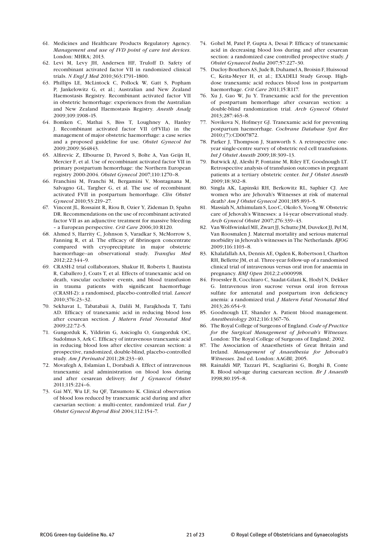- 61. Medicines and Healthcare Products Regulatory Agency. *Management and use of IVD point of care test devices*. London: MHRA; 2013.
- 62. Levi M, Levy JH, Andersen HF, Truloff D. Safety of recombinant activated factor VII in randomized clinical trials. *N Engl J Med* 2010;363:1791–1800.
- 63. Phillips LE, McLintock C, Pollock W, Gatt S, Popham P, Jankelowitz G, et al.; Australian and New Zealand Haemostasis Registry. Recombinant activated factor VII in obstetric hemorrhage: experiences from the Australian and New Zealand Haemostasis Registry. *Anesth Analg*  2009;109:1908–15.
- 64. Bomken C, Mathai S, Biss T, Loughney A, Hanley J. Recombinant activated factor VII (rFVIIa) in the management of major obstetric haemorrhage: a case series and a proposed guideline for use. *Obstet Gynecol Int*  2009;2009:364843.
- 65. Alfirevic Z, Elbourne D, Pavord S, Bolte A, Van Geijn H, Mercier F, et al. Use of recombinant activated factor VII in primary postpartum hemorrhage: the Northern European registry 2000-2004. *Obstet Gynecol* 2007;110:1270–8.
- 66. Franchini M, Franchi M, Bergamini V, Montagnana M, Salvagno GL, Targher G, et al. The use of recombinant activated FVII in postpartum hemorrhage. *Clin Obstet Gynecol* 2010;53:219–27.
- 67. Vincent JL, Rossaint R, Riou B, Ozier Y, Zideman D, Spahn DR. Recommendations on the use of recombinant activated factor VII as an adjunctive treatment for massive bleeding – a European perspective. *Crit Care* 2006;10:R120.
- 68. Ahmed S, Harrity C, Johnson S, Varadkar S, McMorrow S, Fanning R, et al. The efficacy of fibrinogen concentrate compared with cryoprecipitate in major obstetric haemorrhage--an observational study. *Transfus Med*  2012;22:344–9.
- 69. CRASH-2 trial collaborators, Shakur H, Roberts I, Bautista R, Caballero J, Coats T, et al. Effects of tranexamic acid on death, vascular occlusive events, and blood transfusion in trauma patients with significant haemorrhage (CRASH-2): a randomised, placebo-controlled trial. *Lancet* 2010;376:23–32.
- 70. Sekhavat L, Tabatabaii A, Dalili M, Farajkhoda T, Tafti AD. Efficacy of tranexamic acid in reducing blood loss after cesarean section. *J Matern Fetal Neonatal Med*  2009;22:72–5.
- 71. Gungorduk K, Yildirim G, Asicioglu O, Gungorduk OC, Sudolmus S, Ark C. Efficacy of intravenous tranexamic acid in reducing blood loss after elective cesarean section: a prospective, randomized, double-blind, placebo-controlled study. *Am J Perinatol* 2011;28:233–40.
- 72. Movafegh A, Eslamian L, Dorabadi A. Effect of intravenous tranexamic acid administration on blood loss during and after cesarean delivery. *Int J Gynaecol Obstet*  2011;115:224–6.
- 73. Gai MY, Wu LF, Su QF, Tatsumoto K. Clinical observation of blood loss reduced by tranexamic acid during and after caesarian section: a multi-center, randomized trial. *Eur J Obstet Gynecol Reprod Biol* 2004;112:154–7.
- 74. Gohel M, Patel P, Gupta A, Desai P. Efficacy of tranexamic acid in decreasing blood loss during and after cesarean section: a randomized case controlled prospective study. *J Obstet Gynaecol India* 2007;57:227–30.
- 75. Ducloy-Bouthors AS, Jude B, Duhamel A, Broisin F, Huissoud C, Keita-Meyer H, et al.; EXADELI Study Group. Highdose tranexamic acid reduces blood loss in postpartum haemorrhage. *Crit Care* 2011;15:R117.
- 76. Xu J, Gao W, Ju Y. Tranexamic acid for the prevention of postpartum hemorrhage after cesarean section: a double-blind randomization trial. *Arch Gynecol Obstet*  2013;287:463–8.
- 77. Novikova N, Hofmeyr GJ. Tranexamic acid for preventing postpartum haemorrhage. *Cochrane Database Syst Rev*  2010;(7):CD007872.
- 78. Parker J, Thompson J, Stanworth S. A retrospective oneyear single-centre survey of obstetric red cell transfusions. *Int J Obstet Anesth* 2009;18:309–13.
- 79. Butwick AJ, Aleshi P, Fontaine M, Riley ET, Goodnough LT. Retrospective analysis of transfusion outcomes in pregnant patients at a tertiary obstetric center. *Int J Obstet Anesth*  2009;18:302–8.
- 80. Singla AK, Lapinski RH, Berkowitz RL, Saphier CJ. Are women who are Jehovah's Witnesses at risk of maternal death? *Am J Obstet Gynecol* 2001;185:893–5.
- 81. Massiah N, Athimulam S, Loo C, Okolo S, Yoong W. Obstetric care of Jehovah's Witnesses: a 14-year observational study. *Arch Gynecol Obstet* 2007;276:339–43.
- 82. Van Wolfswinkel ME, Zwart JJ, Schutte JM, Duvekot JJ, Pel M, Van Roosmalen J. Maternal mortality and serious maternal morbidity in Jehovah's witnesses in The Netherlands. *BJOG* 2009;116:1103–8.
- 83. Khalafallah AA, Dennis AE, Ogden K, Robertson I, Charlton RH, Bellette JM, et al. Three-year follow-up of a randomised clinical trial of intravenous versus oral iron for anaemia in pregnancy. *BMJ Open* 2012;2:e000998.
- 84. Froessler B, Cocchiaro C, Saadat-Gilani K, Hodyl N, Dekker G. Intravenous iron sucrose versus oral iron ferrous sulfate for antenatal and postpartum iron deficiency anemia: a randomized trial. *J Matern Fetal Neonatal Med*  2013;26:654–9.
- 85. Goodnough LT, Shander A. Patient blood management. *Anesthesiology* 2012;116:1367–76.
- 86. The Royal College of Surgeons of England. *Code of Practice for the Surgical Management of Jehovah's Witnesses*. London: The Royal College of Surgeons of England; 2002.
- 87. The Association of Anaesthetists of Great Britain and Ireland. *Management of Anaesthesia for Jehovah's Witnesses*. 2nd ed. London: AAGBI; 2005.
- 88. Rainaldi MP, Tazzari PL, Scagliarini G, Borghi B, Conte R. Blood salvage during caesarean section. *Br J Anaesth*  1998;80:195–8.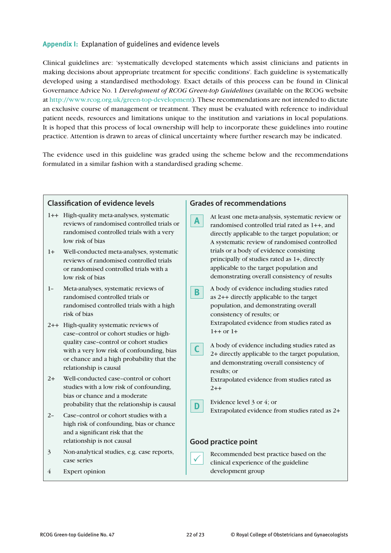#### **Appendix I:** Explanation of guidelines and evidence levels

Clinical guidelines are: 'systematically developed statements which assist clinicians and patients in making decisions about appropriate treatment for specific conditions'. Each guideline is systematically developed using a standardised methodology. Exact details of this process can be found in Clinical Governance Advice No. 1 *Development of RCOG Green-top Guidelines* (available on the RCOG website at http://www.rcog.org.uk/green-top-development). These recommendations are not intended to dictate an exclusive course of management or treatment. They must be evaluated with reference to individual patient needs, resources and limitations unique to the institution and variations in local populations. It is hoped that this process of local ownership will help to incorporate these guidelines into routine practice. Attention is drawn to areas of clinical uncertainty where further research may be indicated.

The evidence used in this guideline was graded using the scheme below and the recommendations formulated in a similar fashion with a standardised grading scheme.